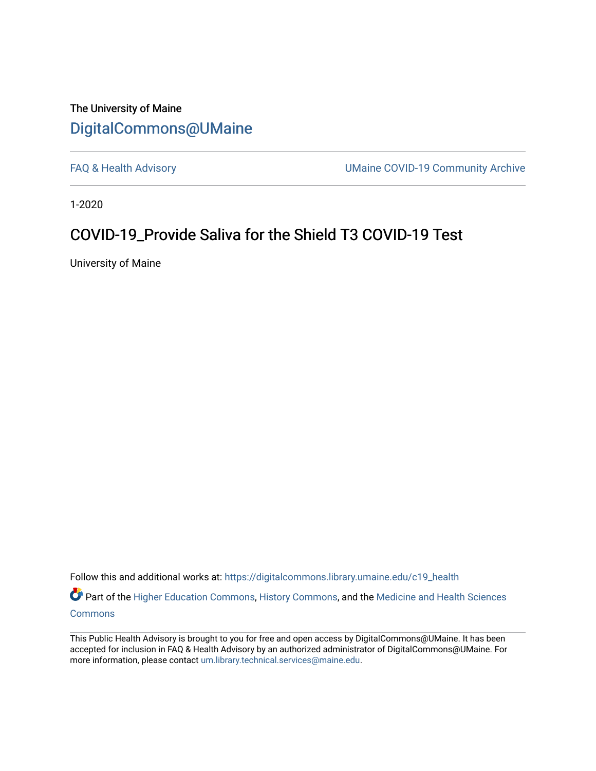## The University of Maine [DigitalCommons@UMaine](https://digitalcommons.library.umaine.edu/)

[FAQ & Health Advisory](https://digitalcommons.library.umaine.edu/c19_health) **EXALL ACCESS** UMaine COVID-19 Community Archive

1-2020

## COVID-19\_Provide Saliva for the Shield T3 COVID-19 Test

University of Maine

Follow this and additional works at: [https://digitalcommons.library.umaine.edu/c19\\_health](https://digitalcommons.library.umaine.edu/c19_health?utm_source=digitalcommons.library.umaine.edu%2Fc19_health%2F101&utm_medium=PDF&utm_campaign=PDFCoverPages) 

Part of the [Higher Education Commons,](http://network.bepress.com/hgg/discipline/1245?utm_source=digitalcommons.library.umaine.edu%2Fc19_health%2F101&utm_medium=PDF&utm_campaign=PDFCoverPages) [History Commons,](http://network.bepress.com/hgg/discipline/489?utm_source=digitalcommons.library.umaine.edu%2Fc19_health%2F101&utm_medium=PDF&utm_campaign=PDFCoverPages) and the Medicine and Health Sciences [Commons](http://network.bepress.com/hgg/discipline/648?utm_source=digitalcommons.library.umaine.edu%2Fc19_health%2F101&utm_medium=PDF&utm_campaign=PDFCoverPages)

This Public Health Advisory is brought to you for free and open access by DigitalCommons@UMaine. It has been accepted for inclusion in FAQ & Health Advisory by an authorized administrator of DigitalCommons@UMaine. For more information, please contact [um.library.technical.services@maine.edu](mailto:um.library.technical.services@maine.edu).